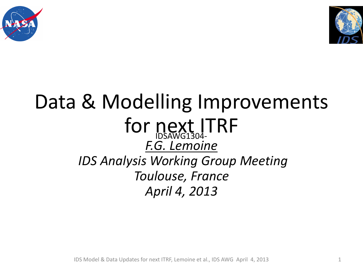



## Data & Modelling Improvements for next ITRF *F.G. Lemoine IDS Analysis Working Group Meeting Toulouse, France April 4, 2013*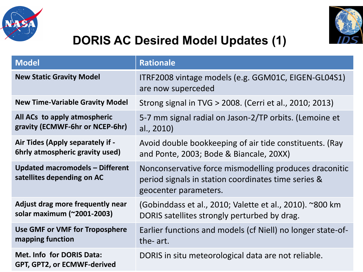



## **DORIS AC Desired Model Updates (1)**

| <b>Model</b>                                                         | <b>Rationale</b>                                                                                                                       |
|----------------------------------------------------------------------|----------------------------------------------------------------------------------------------------------------------------------------|
| <b>New Static Gravity Model</b>                                      | ITRF2008 vintage models (e.g. GGM01C, EIGEN-GL04S1)<br>are now superceded                                                              |
| <b>New Time-Variable Gravity Model</b>                               | Strong signal in TVG > 2008. (Cerri et al., 2010; 2013)                                                                                |
| All ACs to apply atmospheric<br>gravity (ECMWF-6hr or NCEP-6hr)      | 5-7 mm signal radial on Jason-2/TP orbits. (Lemoine et<br>al., 2010)                                                                   |
| Air Tides (Apply separately if -<br>6hrly atmospheric gravity used)  | Avoid double bookkeeping of air tide constituents. (Ray<br>and Ponte, 2003; Bode & Biancale, 20XX)                                     |
| <b>Updated macromodels - Different</b><br>satellites depending on AC | Nonconservative force mismodelling produces draconitic<br>period signals in station coordinates time series &<br>geocenter parameters. |
| Adjust drag more frequently near<br>solar maximum (~2001-2003)       | (Gobinddass et al., 2010; Valette et al., 2010). ~800 km<br>DORIS satellites strongly perturbed by drag.                               |
| Use GMF or VMF for Troposphere<br>mapping function                   | Earlier functions and models (cf Niell) no longer state-of-<br>the- art.                                                               |
| <b>Met. Info for DORIS Data:</b><br>GPT, GPT2, or ECMWF-derived      | DORIS in situ meteorological data are not reliable.                                                                                    |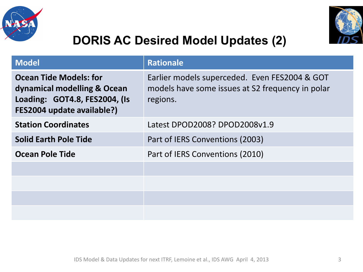



## **DORIS AC Desired Model Updates (2)**

| <b>Model</b>                                                                                                                | <b>Rationale</b>                                                                                              |
|-----------------------------------------------------------------------------------------------------------------------------|---------------------------------------------------------------------------------------------------------------|
| <b>Ocean Tide Models: for</b><br>dynamical modelling & Ocean<br>Loading: GOT4.8, FES2004, (Is<br>FES2004 update available?) | Earlier models superceded. Even FES2004 & GOT<br>models have some issues at S2 frequency in polar<br>regions. |
| <b>Station Coordinates</b>                                                                                                  | Latest DPOD2008? DPOD2008v1.9                                                                                 |
| <b>Solid Earth Pole Tide</b>                                                                                                | Part of IERS Conventions (2003)                                                                               |
| Ocean Pole Tide                                                                                                             | Part of IERS Conventions (2010)                                                                               |
|                                                                                                                             |                                                                                                               |
|                                                                                                                             |                                                                                                               |
|                                                                                                                             |                                                                                                               |
|                                                                                                                             |                                                                                                               |